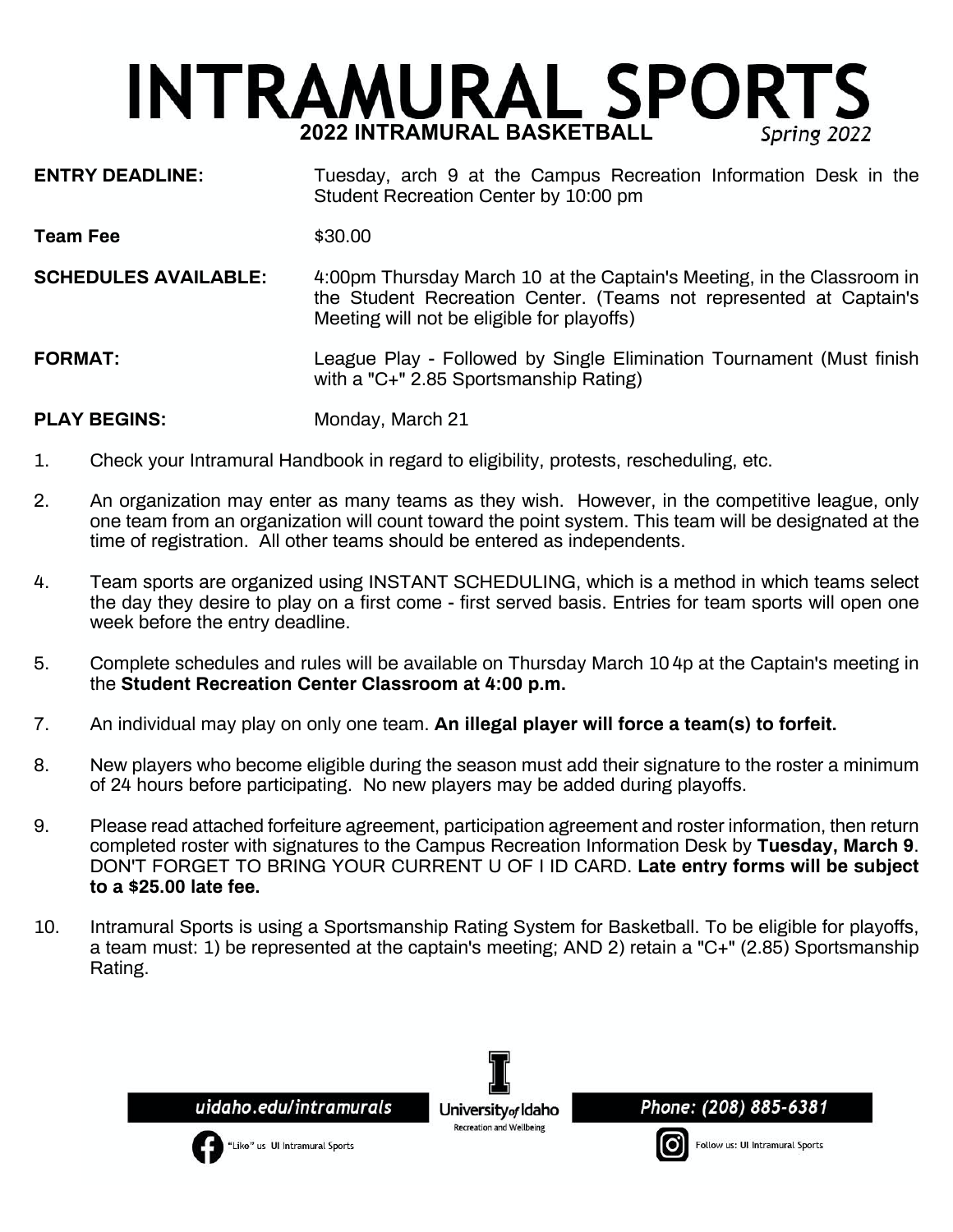# **INTRAMURAL SPORTS 2022 INTRAMURAL BASKETBALL** Spring 2022

- **ENTRY DEADLINE:** Tuesday, arch 9 at the Campus Recreation Information Desk in the Student Recreation Center by 10:00 pm
- **Team Fee**  $$30.00$
- **SCHEDULES AVAILABLE:** 4:00pm Thursday March 10 at the Captain's Meeting, in the Classroom in the Student Recreation Center. (Teams not represented at Captain's Meeting will not be eligible for playoffs)

**FORMAT:** League Play - Followed by Single Elimination Tournament (Must finish with a "C+" 2.85 Sportsmanship Rating)

**PLAY BEGINS:** Monday, March 21

- 1. Check your Intramural Handbook in regard to eligibility, protests, rescheduling, etc.
- 2. An organization may enter as many teams as they wish. However, in the competitive league, only one team from an organization will count toward the point system. This team will be designated at the time of registration. All other teams should be entered as independents.
- 4. Team sports are organized using INSTANT SCHEDULING, which is a method in which teams select the day they desire to play on a first come - first served basis. Entries for team sports will open one week before the entry deadline.
- 5. Complete schedules and rules will be available on Thursday March 10 4p at the Captain's meeting in the **Student Recreation Center Classroom at 4:00 p.m.**
- 7. An individual may play on only one team. **An illegal player will force a team(s) to forfeit.**
- 8. New players who become eligible during the season must add their signature to the roster a minimum of 24 hours before participating. No new players may be added during playoffs.
- 9. Please read attached forfeiture agreement, participation agreement and roster information, then return completed roster with signatures to the Campus Recreation Information Desk by **Tuesday, March 9**. DON'T FORGET TO BRING YOUR CURRENT U OF I ID CARD. **Late entry forms will be subject to a \$25.00 late fee.**
- 10. Intramural Sports is using a Sportsmanship Rating System for Basketball. To be eligible for playoffs, a team must: 1) be represented at the captain's meeting; AND 2) retain a "C+" (2.85) Sportsmanship Rating.

uidaho.edu/intramurals

"Like" us UI Intramural Sports

University<sub>of</sub> Idaho Recreation and Wellbeing



Follow us: UI Intramural Sports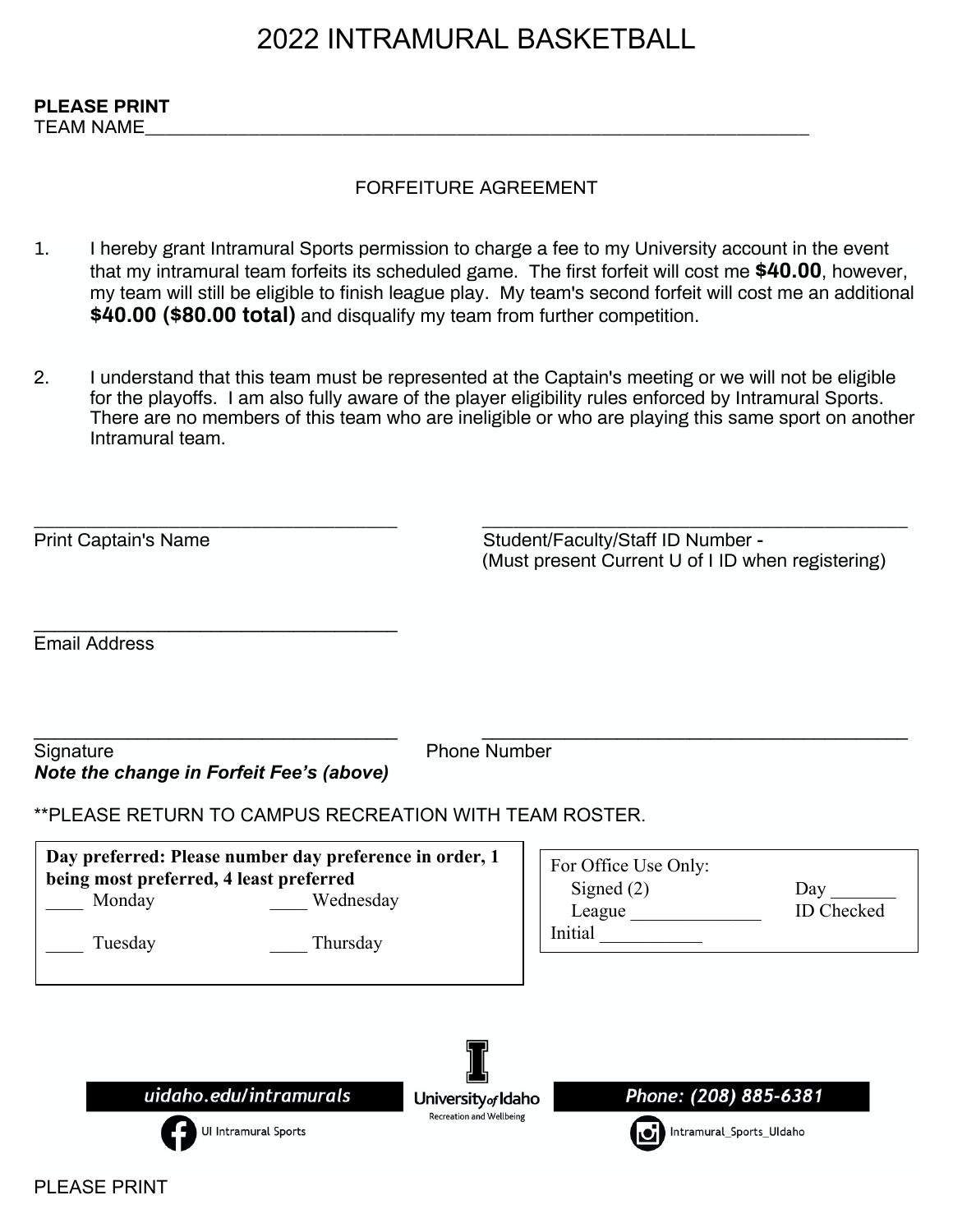## 2022 INTRAMURAL BASKETBALL

TEAM NAME\_\_\_\_\_\_\_\_\_\_\_\_\_\_\_\_\_\_\_\_\_\_\_\_\_\_\_\_\_\_\_\_\_\_\_\_\_\_\_\_\_\_\_\_\_\_\_\_\_\_\_\_\_\_\_\_\_\_\_\_\_\_\_\_

## FORFEITURE AGREEMENT

- 1. I hereby grant Intramural Sports permission to charge a fee to my University account in the event that my intramural team forfeits its scheduled game. The first forfeit will cost me **\$40.00**, however, my team will still be eligible to finish league play. My team's second forfeit will cost me an additional **\$40.00 (\$80.00 total)** and disqualify my team from further competition.
- 2. I understand that this team must be represented at the Captain's meeting or we will not be eligible for the playoffs. I am also fully aware of the player eligibility rules enforced by Intramural Sports. There are no members of this team who are ineligible or who are playing this same sport on another Intramural team.

| <b>Print Captain's Name</b>                                  |                                                                                  | Student/Faculty/Staff ID Number -<br>(Must present Current U of I ID when registering) |                                                   |                   |
|--------------------------------------------------------------|----------------------------------------------------------------------------------|----------------------------------------------------------------------------------------|---------------------------------------------------|-------------------|
| <b>Email Address</b>                                         |                                                                                  |                                                                                        |                                                   |                   |
| Signature<br><b>Note the change in Forfeit Fee's (above)</b> | **PLEASE RETURN TO CAMPUS RECREATION WITH TEAM ROSTER.                           | <b>Phone Number</b>                                                                    |                                                   |                   |
| being most preferred, 4 least preferred<br>Monday<br>Tuesday | Day preferred: Please number day preference in order, 1<br>Wednesday<br>Thursday |                                                                                        | For Office Use Only:<br>Signed $(2)$<br>Initial   | Day<br>ID Checked |
|                                                              | uidaho.edu/intramurals<br>Ul Intramural Sports                                   | University <sub>of</sub> Idaho<br><b>Recreation and Wellbeing</b>                      | Phone: (208) 885-6381<br>Intramural_Sports_UIdaho |                   |